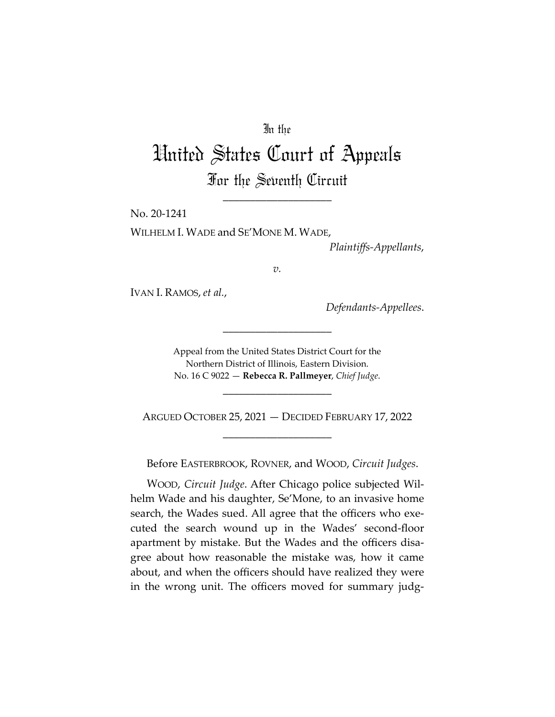## In the

# United States Court of Appeals For the Seventh Circuit

\_\_\_\_\_\_\_\_\_\_\_\_\_\_\_\_\_\_\_\_

No. 20-1241

WILHELM I. WADE and SE'MONE M. WADE,

*Plaintiffs-Appellants*,

*v.*

IVAN I. RAMOS, *et al.*,

*Defendants-Appellees*.

Appeal from the United States District Court for the Northern District of Illinois, Eastern Division. No. 16 C 9022 — **Rebecca R. Pallmeyer**, *Chief Judge*.

\_\_\_\_\_\_\_\_\_\_\_\_\_\_\_\_\_\_\_\_

\_\_\_\_\_\_\_\_\_\_\_\_\_\_\_\_\_\_\_\_

ARGUED OCTOBER 25, 2021 — DECIDED FEBRUARY 17, 2022 \_\_\_\_\_\_\_\_\_\_\_\_\_\_\_\_\_\_\_\_

Before EASTERBROOK, ROVNER, and WOOD, *Circuit Judges*.

WOOD, *Circuit Judge*. After Chicago police subjected Wilhelm Wade and his daughter, Se'Mone, to an invasive home search, the Wades sued. All agree that the officers who executed the search wound up in the Wades' second-floor apartment by mistake. But the Wades and the officers disagree about how reasonable the mistake was, how it came about, and when the officers should have realized they were in the wrong unit. The officers moved for summary judg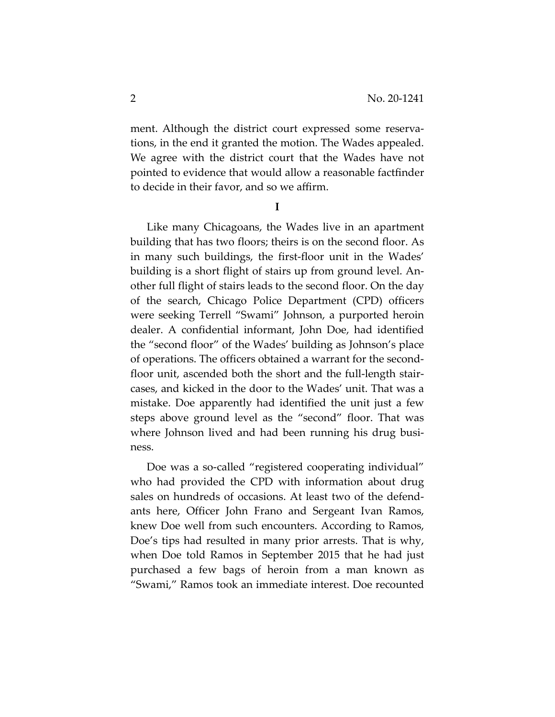ment. Although the district court expressed some reservations, in the end it granted the motion. The Wades appealed. We agree with the district court that the Wades have not pointed to evidence that would allow a reasonable factfinder to decide in their favor, and so we affirm.

**I** 

Like many Chicagoans, the Wades live in an apartment building that has two floors; theirs is on the second floor. As in many such buildings, the first-floor unit in the Wades' building is a short flight of stairs up from ground level. Another full flight of stairs leads to the second floor. On the day of the search, Chicago Police Department (CPD) officers were seeking Terrell "Swami" Johnson, a purported heroin dealer. A confidential informant, John Doe, had identified the "second floor" of the Wades' building as Johnson's place of operations. The officers obtained a warrant for the secondfloor unit, ascended both the short and the full-length staircases, and kicked in the door to the Wades' unit. That was a mistake. Doe apparently had identified the unit just a few steps above ground level as the "second" floor. That was where Johnson lived and had been running his drug business.

Doe was a so-called "registered cooperating individual" who had provided the CPD with information about drug sales on hundreds of occasions. At least two of the defendants here, Officer John Frano and Sergeant Ivan Ramos, knew Doe well from such encounters. According to Ramos, Doe's tips had resulted in many prior arrests. That is why, when Doe told Ramos in September 2015 that he had just purchased a few bags of heroin from a man known as "Swami," Ramos took an immediate interest. Doe recounted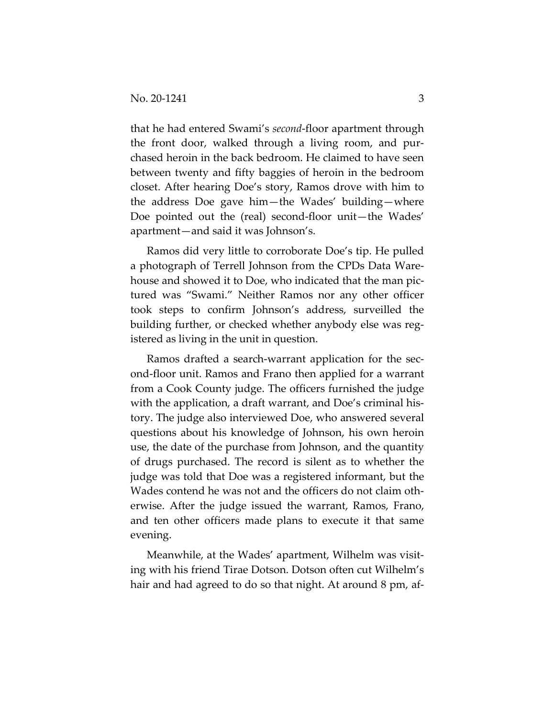that he had entered Swami's *second*-floor apartment through the front door, walked through a living room, and purchased heroin in the back bedroom. He claimed to have seen between twenty and fifty baggies of heroin in the bedroom closet. After hearing Doe's story, Ramos drove with him to the address Doe gave him—the Wades' building—where Doe pointed out the (real) second-floor unit—the Wades' apartment—and said it was Johnson's.

Ramos did very little to corroborate Doe's tip. He pulled a photograph of Terrell Johnson from the CPDs Data Warehouse and showed it to Doe, who indicated that the man pictured was "Swami." Neither Ramos nor any other officer took steps to confirm Johnson's address, surveilled the building further, or checked whether anybody else was registered as living in the unit in question.

Ramos drafted a search-warrant application for the second-floor unit. Ramos and Frano then applied for a warrant from a Cook County judge. The officers furnished the judge with the application, a draft warrant, and Doe's criminal history. The judge also interviewed Doe, who answered several questions about his knowledge of Johnson, his own heroin use, the date of the purchase from Johnson, and the quantity of drugs purchased. The record is silent as to whether the judge was told that Doe was a registered informant, but the Wades contend he was not and the officers do not claim otherwise. After the judge issued the warrant, Ramos, Frano, and ten other officers made plans to execute it that same evening.

Meanwhile, at the Wades' apartment, Wilhelm was visiting with his friend Tirae Dotson. Dotson often cut Wilhelm's hair and had agreed to do so that night. At around 8 pm, af-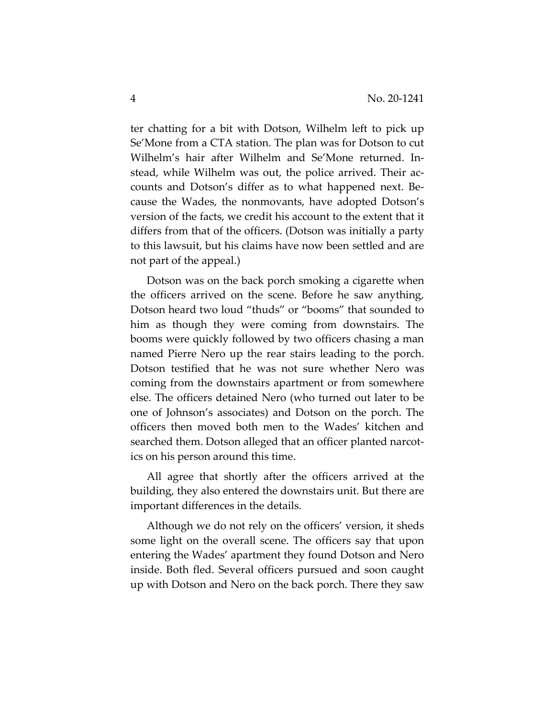ter chatting for a bit with Dotson, Wilhelm left to pick up Se'Mone from a CTA station. The plan was for Dotson to cut Wilhelm's hair after Wilhelm and Se'Mone returned. Instead, while Wilhelm was out, the police arrived. Their accounts and Dotson's differ as to what happened next. Because the Wades, the nonmovants, have adopted Dotson's version of the facts, we credit his account to the extent that it differs from that of the officers. (Dotson was initially a party to this lawsuit, but his claims have now been settled and are not part of the appeal.)

Dotson was on the back porch smoking a cigarette when the officers arrived on the scene. Before he saw anything, Dotson heard two loud "thuds" or "booms" that sounded to him as though they were coming from downstairs. The booms were quickly followed by two officers chasing a man named Pierre Nero up the rear stairs leading to the porch. Dotson testified that he was not sure whether Nero was coming from the downstairs apartment or from somewhere else. The officers detained Nero (who turned out later to be one of Johnson's associates) and Dotson on the porch. The officers then moved both men to the Wades' kitchen and searched them. Dotson alleged that an officer planted narcotics on his person around this time.

All agree that shortly after the officers arrived at the building, they also entered the downstairs unit. But there are important differences in the details.

Although we do not rely on the officers' version, it sheds some light on the overall scene. The officers say that upon entering the Wades' apartment they found Dotson and Nero inside. Both fled. Several officers pursued and soon caught up with Dotson and Nero on the back porch. There they saw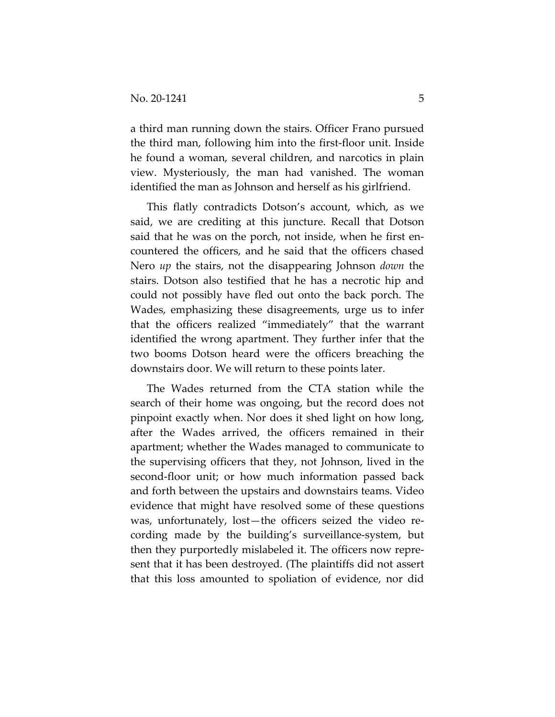a third man running down the stairs. Officer Frano pursued the third man, following him into the first-floor unit. Inside he found a woman, several children, and narcotics in plain view. Mysteriously, the man had vanished. The woman identified the man as Johnson and herself as his girlfriend.

This flatly contradicts Dotson's account, which, as we said, we are crediting at this juncture. Recall that Dotson said that he was on the porch, not inside, when he first encountered the officers, and he said that the officers chased Nero *up* the stairs, not the disappearing Johnson *down* the stairs. Dotson also testified that he has a necrotic hip and could not possibly have fled out onto the back porch. The Wades, emphasizing these disagreements, urge us to infer that the officers realized "immediately" that the warrant identified the wrong apartment. They further infer that the two booms Dotson heard were the officers breaching the downstairs door. We will return to these points later.

The Wades returned from the CTA station while the search of their home was ongoing, but the record does not pinpoint exactly when. Nor does it shed light on how long, after the Wades arrived, the officers remained in their apartment; whether the Wades managed to communicate to the supervising officers that they, not Johnson, lived in the second-floor unit; or how much information passed back and forth between the upstairs and downstairs teams. Video evidence that might have resolved some of these questions was, unfortunately, lost—the officers seized the video recording made by the building's surveillance-system, but then they purportedly mislabeled it. The officers now represent that it has been destroyed. (The plaintiffs did not assert that this loss amounted to spoliation of evidence, nor did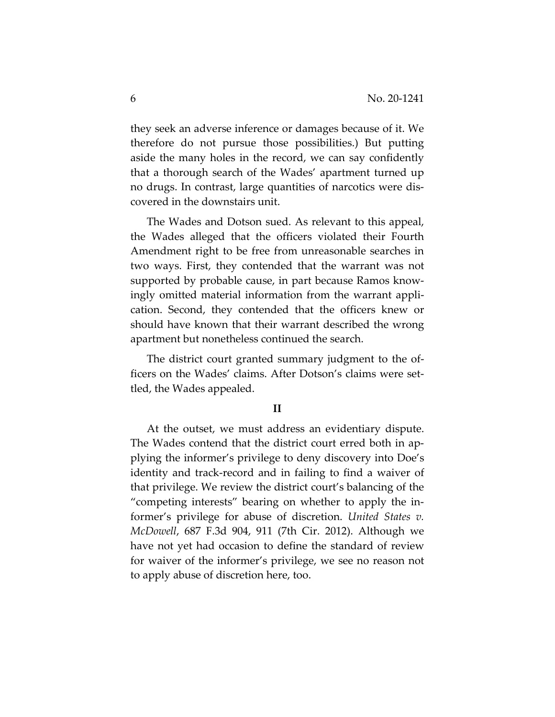they seek an adverse inference or damages because of it. We therefore do not pursue those possibilities.) But putting aside the many holes in the record, we can say confidently that a thorough search of the Wades' apartment turned up no drugs. In contrast, large quantities of narcotics were discovered in the downstairs unit.

The Wades and Dotson sued. As relevant to this appeal, the Wades alleged that the officers violated their Fourth Amendment right to be free from unreasonable searches in two ways. First, they contended that the warrant was not supported by probable cause, in part because Ramos knowingly omitted material information from the warrant application. Second, they contended that the officers knew or should have known that their warrant described the wrong apartment but nonetheless continued the search.

The district court granted summary judgment to the officers on the Wades' claims. After Dotson's claims were settled, the Wades appealed.

### **II**

At the outset, we must address an evidentiary dispute. The Wades contend that the district court erred both in applying the informer's privilege to deny discovery into Doe's identity and track-record and in failing to find a waiver of that privilege. We review the district court's balancing of the "competing interests" bearing on whether to apply the informer's privilege for abuse of discretion. *United States v. McDowell*, 687 F.3d 904, 911 (7th Cir. 2012). Although we have not yet had occasion to define the standard of review for waiver of the informer's privilege, we see no reason not to apply abuse of discretion here, too.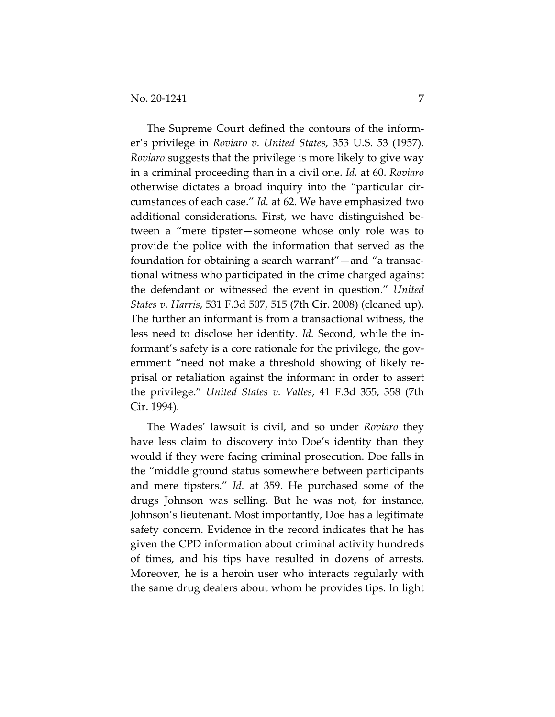The Supreme Court defined the contours of the informer's privilege in *Roviaro v. United States*, 353 U.S. 53 (1957). *Roviaro* suggests that the privilege is more likely to give way in a criminal proceeding than in a civil one. *Id.* at 60. *Roviaro* otherwise dictates a broad inquiry into the "particular circumstances of each case." *Id.* at 62. We have emphasized two additional considerations. First, we have distinguished between a "mere tipster—someone whose only role was to provide the police with the information that served as the foundation for obtaining a search warrant"—and "a transactional witness who participated in the crime charged against the defendant or witnessed the event in question." *United States v. Harris*, 531 F.3d 507, 515 (7th Cir. 2008) (cleaned up). The further an informant is from a transactional witness, the less need to disclose her identity. *Id.* Second, while the informant's safety is a core rationale for the privilege, the government "need not make a threshold showing of likely reprisal or retaliation against the informant in order to assert the privilege." *United States v. Valles*, 41 F.3d 355, 358 (7th Cir. 1994).

The Wades' lawsuit is civil, and so under *Roviaro* they have less claim to discovery into Doe's identity than they would if they were facing criminal prosecution. Doe falls in the "middle ground status somewhere between participants and mere tipsters." *Id.* at 359. He purchased some of the drugs Johnson was selling. But he was not, for instance, Johnson's lieutenant. Most importantly, Doe has a legitimate safety concern. Evidence in the record indicates that he has given the CPD information about criminal activity hundreds of times, and his tips have resulted in dozens of arrests. Moreover, he is a heroin user who interacts regularly with the same drug dealers about whom he provides tips. In light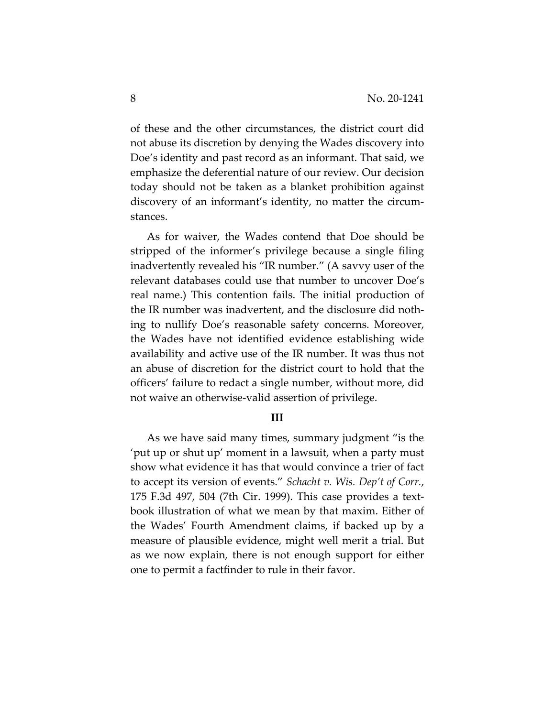of these and the other circumstances, the district court did not abuse its discretion by denying the Wades discovery into Doe's identity and past record as an informant. That said, we emphasize the deferential nature of our review. Our decision today should not be taken as a blanket prohibition against discovery of an informant's identity, no matter the circumstances.

As for waiver, the Wades contend that Doe should be stripped of the informer's privilege because a single filing inadvertently revealed his "IR number." (A savvy user of the relevant databases could use that number to uncover Doe's real name.) This contention fails. The initial production of the IR number was inadvertent, and the disclosure did nothing to nullify Doe's reasonable safety concerns. Moreover, the Wades have not identified evidence establishing wide availability and active use of the IR number. It was thus not an abuse of discretion for the district court to hold that the officers' failure to redact a single number, without more, did not waive an otherwise-valid assertion of privilege.

#### **III**

As we have said many times, summary judgment "is the 'put up or shut up' moment in a lawsuit, when a party must show what evidence it has that would convince a trier of fact to accept its version of events." *Schacht v. Wis. Dep't of Corr.*, 175 F.3d 497, 504 (7th Cir. 1999). This case provides a textbook illustration of what we mean by that maxim. Either of the Wades' Fourth Amendment claims, if backed up by a measure of plausible evidence, might well merit a trial. But as we now explain, there is not enough support for either one to permit a factfinder to rule in their favor.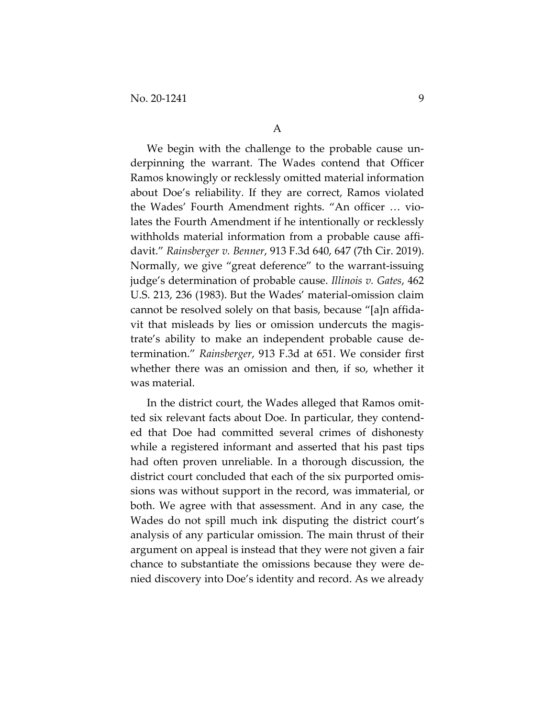We begin with the challenge to the probable cause underpinning the warrant. The Wades contend that Officer Ramos knowingly or recklessly omitted material information about Doe's reliability. If they are correct, Ramos violated the Wades' Fourth Amendment rights. "An officer … violates the Fourth Amendment if he intentionally or recklessly withholds material information from a probable cause affidavit." *Rainsberger v. Benner*, 913 F.3d 640, 647 (7th Cir. 2019). Normally, we give "great deference" to the warrant-issuing judge's determination of probable cause. *Illinois v. Gates*, 462 U.S. 213, 236 (1983). But the Wades' material-omission claim cannot be resolved solely on that basis, because "[a]n affidavit that misleads by lies or omission undercuts the magistrate's ability to make an independent probable cause determination." *Rainsberger*, 913 F.3d at 651. We consider first whether there was an omission and then, if so, whether it was material.

In the district court, the Wades alleged that Ramos omitted six relevant facts about Doe. In particular, they contended that Doe had committed several crimes of dishonesty while a registered informant and asserted that his past tips had often proven unreliable. In a thorough discussion, the district court concluded that each of the six purported omissions was without support in the record, was immaterial, or both. We agree with that assessment. And in any case, the Wades do not spill much ink disputing the district court's analysis of any particular omission. The main thrust of their argument on appeal is instead that they were not given a fair chance to substantiate the omissions because they were denied discovery into Doe's identity and record. As we already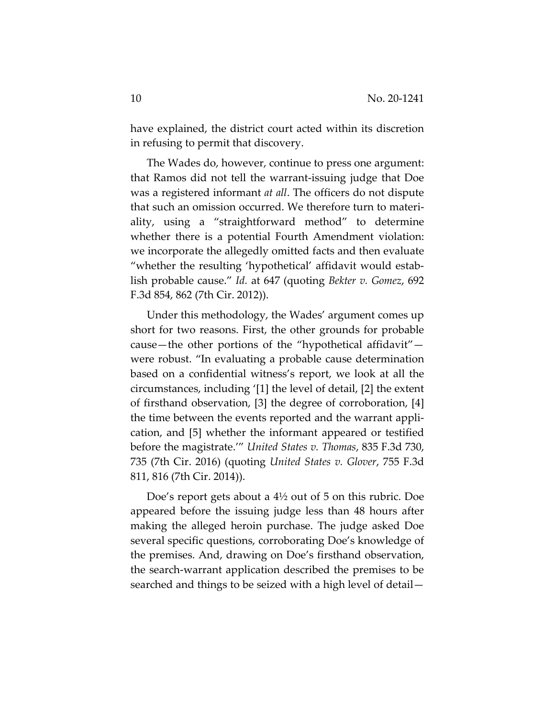have explained, the district court acted within its discretion in refusing to permit that discovery.

The Wades do, however, continue to press one argument: that Ramos did not tell the warrant-issuing judge that Doe was a registered informant *at all*. The officers do not dispute that such an omission occurred. We therefore turn to materiality, using a "straightforward method" to determine whether there is a potential Fourth Amendment violation: we incorporate the allegedly omitted facts and then evaluate "whether the resulting 'hypothetical' affidavit would establish probable cause." *Id.* at 647 (quoting *Bekter v. Gomez*, 692 F.3d 854, 862 (7th Cir. 2012)).

Under this methodology, the Wades' argument comes up short for two reasons. First, the other grounds for probable cause—the other portions of the "hypothetical affidavit" were robust. "In evaluating a probable cause determination based on a confidential witness's report, we look at all the circumstances, including '[1] the level of detail, [2] the extent of firsthand observation, [3] the degree of corroboration, [4] the time between the events reported and the warrant application, and [5] whether the informant appeared or testified before the magistrate.'" *United States v. Thomas*, 835 F.3d 730, 735 (7th Cir. 2016) (quoting *United States v. Glover*, 755 F.3d 811, 816 (7th Cir. 2014)).

Doe's report gets about a 4½ out of 5 on this rubric. Doe appeared before the issuing judge less than 48 hours after making the alleged heroin purchase. The judge asked Doe several specific questions, corroborating Doe's knowledge of the premises. And, drawing on Doe's firsthand observation, the search-warrant application described the premises to be searched and things to be seized with a high level of detail—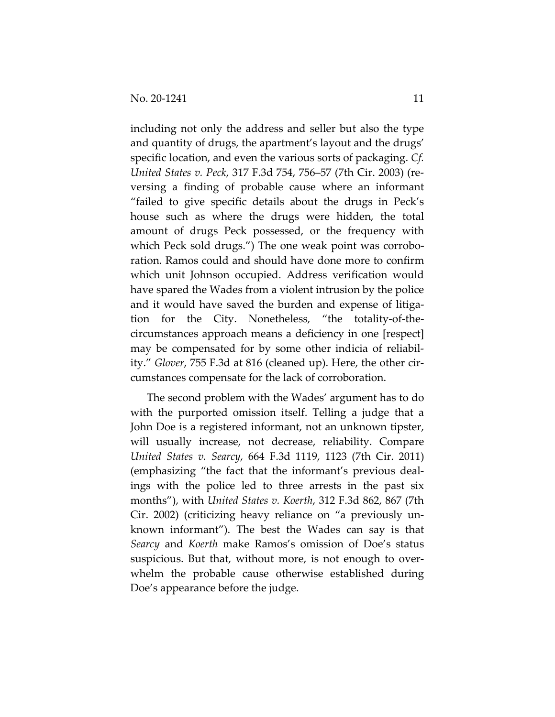including not only the address and seller but also the type and quantity of drugs, the apartment's layout and the drugs' specific location, and even the various sorts of packaging. *Cf. United States v. Peck*, 317 F.3d 754, 756–57 (7th Cir. 2003) (reversing a finding of probable cause where an informant "failed to give specific details about the drugs in Peck's house such as where the drugs were hidden, the total amount of drugs Peck possessed, or the frequency with which Peck sold drugs.") The one weak point was corroboration. Ramos could and should have done more to confirm which unit Johnson occupied. Address verification would have spared the Wades from a violent intrusion by the police and it would have saved the burden and expense of litigation for the City. Nonetheless, "the totality-of-thecircumstances approach means a deficiency in one [respect] may be compensated for by some other indicia of reliability." *Glover*, 755 F.3d at 816 (cleaned up). Here, the other circumstances compensate for the lack of corroboration.

The second problem with the Wades' argument has to do with the purported omission itself. Telling a judge that a John Doe is a registered informant, not an unknown tipster, will usually increase, not decrease, reliability. Compare *United States v. Searcy*, 664 F.3d 1119, 1123 (7th Cir. 2011) (emphasizing "the fact that the informant's previous dealings with the police led to three arrests in the past six months"), with *United States v. Koerth*, 312 F.3d 862, 867 (7th Cir. 2002) (criticizing heavy reliance on "a previously unknown informant"). The best the Wades can say is that *Searcy* and *Koerth* make Ramos's omission of Doe's status suspicious. But that, without more, is not enough to overwhelm the probable cause otherwise established during Doe's appearance before the judge.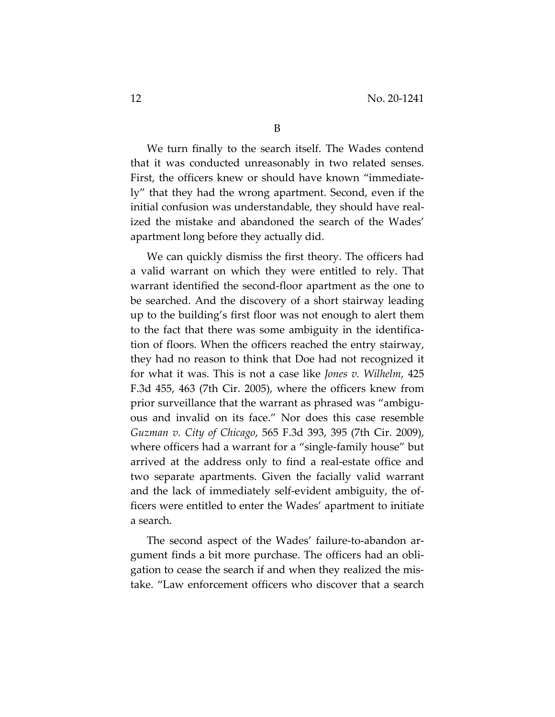We turn finally to the search itself. The Wades contend that it was conducted unreasonably in two related senses. First, the officers knew or should have known "immediately" that they had the wrong apartment. Second, even if the initial confusion was understandable, they should have realized the mistake and abandoned the search of the Wades' apartment long before they actually did.

We can quickly dismiss the first theory. The officers had a valid warrant on which they were entitled to rely. That warrant identified the second-floor apartment as the one to be searched. And the discovery of a short stairway leading up to the building's first floor was not enough to alert them to the fact that there was some ambiguity in the identification of floors. When the officers reached the entry stairway, they had no reason to think that Doe had not recognized it for what it was. This is not a case like *Jones v. Wilhelm*, 425 F.3d 455, 463 (7th Cir. 2005), where the officers knew from prior surveillance that the warrant as phrased was "ambiguous and invalid on its face." Nor does this case resemble *Guzman v. City of Chicago*, 565 F.3d 393, 395 (7th Cir. 2009), where officers had a warrant for a "single-family house" but arrived at the address only to find a real-estate office and two separate apartments. Given the facially valid warrant and the lack of immediately self-evident ambiguity, the officers were entitled to enter the Wades' apartment to initiate a search.

The second aspect of the Wades' failure-to-abandon argument finds a bit more purchase. The officers had an obligation to cease the search if and when they realized the mistake. "Law enforcement officers who discover that a search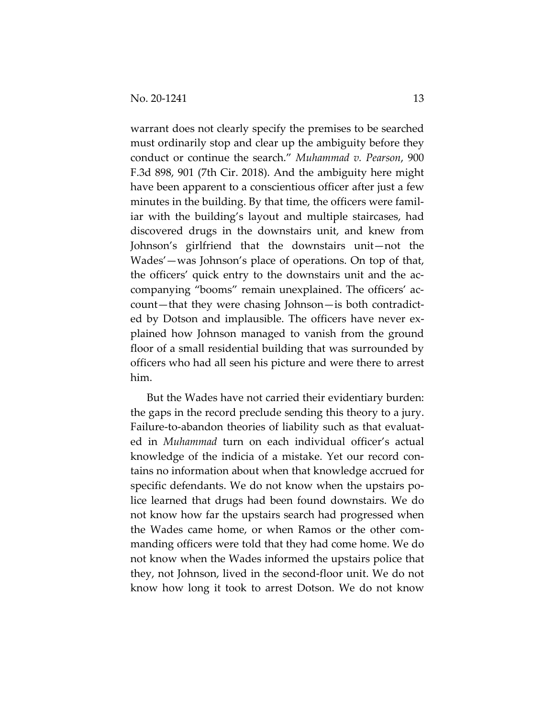warrant does not clearly specify the premises to be searched must ordinarily stop and clear up the ambiguity before they conduct or continue the search." *Muhammad v. Pearson*, 900 F.3d 898, 901 (7th Cir. 2018). And the ambiguity here might have been apparent to a conscientious officer after just a few minutes in the building. By that time, the officers were familiar with the building's layout and multiple staircases, had discovered drugs in the downstairs unit, and knew from Johnson's girlfriend that the downstairs unit—not the Wades'—was Johnson's place of operations. On top of that, the officers' quick entry to the downstairs unit and the accompanying "booms" remain unexplained. The officers' account—that they were chasing Johnson—is both contradicted by Dotson and implausible. The officers have never explained how Johnson managed to vanish from the ground floor of a small residential building that was surrounded by officers who had all seen his picture and were there to arrest him.

But the Wades have not carried their evidentiary burden: the gaps in the record preclude sending this theory to a jury. Failure-to-abandon theories of liability such as that evaluated in *Muhammad* turn on each individual officer's actual knowledge of the indicia of a mistake. Yet our record contains no information about when that knowledge accrued for specific defendants. We do not know when the upstairs police learned that drugs had been found downstairs. We do not know how far the upstairs search had progressed when the Wades came home, or when Ramos or the other commanding officers were told that they had come home. We do not know when the Wades informed the upstairs police that they, not Johnson, lived in the second-floor unit. We do not know how long it took to arrest Dotson. We do not know